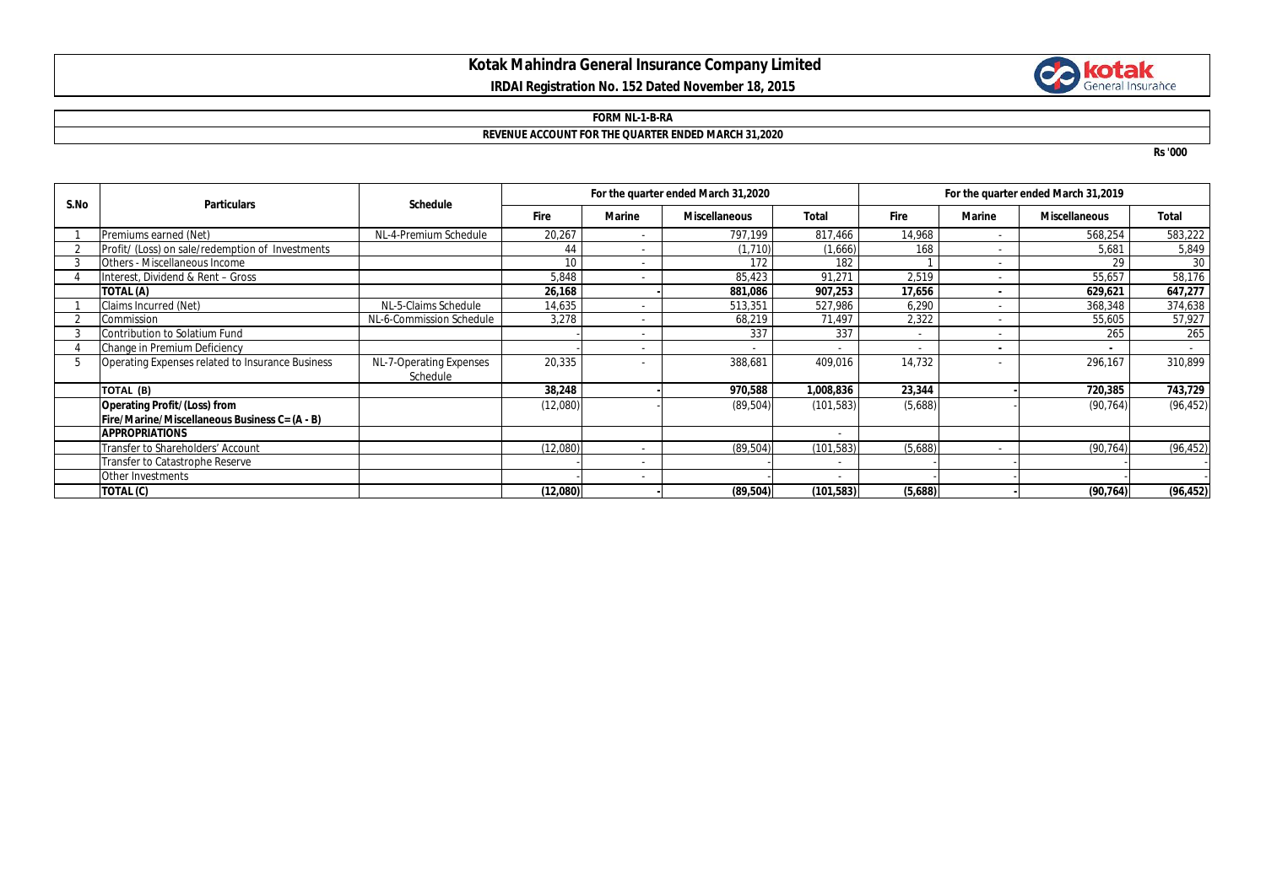## **Kotak Mahindra General Insurance Company Limited IRDAI Registration No. 152 Dated November 18, 2015**



#### **FORM NL-1-B-RA**

### **REVENUE ACCOUNT FOR THE QUARTER ENDED MARCH 31,2020**

**Rs '000**

| S.No | <b>Particulars</b>                               | <b>Schedule</b>          | For the quarter ended March 31,2020 |               |                      |              | For the quarter ended March 31,2019 |               |                      |              |
|------|--------------------------------------------------|--------------------------|-------------------------------------|---------------|----------------------|--------------|-------------------------------------|---------------|----------------------|--------------|
|      |                                                  |                          | <b>Fire</b>                         | <b>Marine</b> | <b>Miscellaneous</b> | <b>Total</b> | <b>Fire</b>                         | <b>Marine</b> | <b>Miscellaneous</b> | <b>Total</b> |
|      | Premiums earned (Net)                            | NL-4-Premium Schedule    | 20,267                              |               | 797.199              | 817,466      | 14,968                              |               | 568,254              | 583,222      |
|      | Profit/ (Loss) on sale/redemption of Investments |                          | 44                                  |               | (1,710)              | (1,666)      | 168                                 |               | 5,681                | 5,849        |
|      | Others - Miscellaneous Income                    |                          | 10 <sup>1</sup>                     |               | 172                  | 182          |                                     |               | 29                   | 30           |
|      | Interest, Dividend & Rent - Gross                |                          | 5,848                               |               | 85,423               | 91,271       | 2,519                               |               | 55,657               | 58,176       |
|      | TOTAL (A)                                        |                          | 26,168                              |               | 881.086              | 907,253      | 17,656                              |               | 629,621              | 647,277      |
|      | Claims Incurred (Net)                            | NL-5-Claims Schedule     | 14,635                              |               | 513,351              | 527,986      | 6,290                               |               | 368,348              | 374,638      |
|      | Commission                                       | NL-6-Commission Schedule | 3,278                               |               | 68,219               | 71,497       | 2,322                               | $\sim$        | 55,605               | 57,927       |
|      | Contribution to Solatium Fund                    |                          |                                     |               | 337                  | 337          | ٠                                   |               | 265                  | 265          |
|      | Change in Premium Deficiency                     |                          |                                     |               |                      |              |                                     |               |                      |              |
| 5    | Operating Expenses related to Insurance Business | NL-7-Operating Expenses  | 20,335                              |               | 388,681              | 409,016      | 14,732                              |               | 296,167              | 310,899      |
|      |                                                  | Schedule                 |                                     |               |                      |              |                                     |               |                      |              |
|      | TOTAL (B)                                        |                          | 38,248                              |               | 970,588              | 1,008,836    | 23,344                              |               | 720,385              | 743,729      |
|      | <b>Operating Profit/(Loss) from</b>              |                          | (12,080)                            |               | (89, 504)            | (101, 583)   | (5,688)                             |               | (90, 764)            | (96, 452)    |
|      | Fire/Marine/Miscellaneous Business C= (A - B)    |                          |                                     |               |                      |              |                                     |               |                      |              |
|      | <b>APPROPRIATIONS</b>                            |                          |                                     |               |                      |              |                                     |               |                      |              |
|      | Transfer to Shareholders' Account                |                          | (12,080)                            |               | (89, 504)            | (101, 583)   | (5,688)                             |               | (90.764)             | (96, 452)    |
|      | Transfer to Catastrophe Reserve                  |                          |                                     |               |                      |              |                                     |               |                      |              |
|      | Other Investments                                |                          |                                     |               |                      |              |                                     |               |                      |              |
|      | TOTAL (C)                                        |                          | (12,080)                            |               | (89, 504)            | (101, 583)   | (5,688)                             |               | (90, 764)            | (96, 452)    |